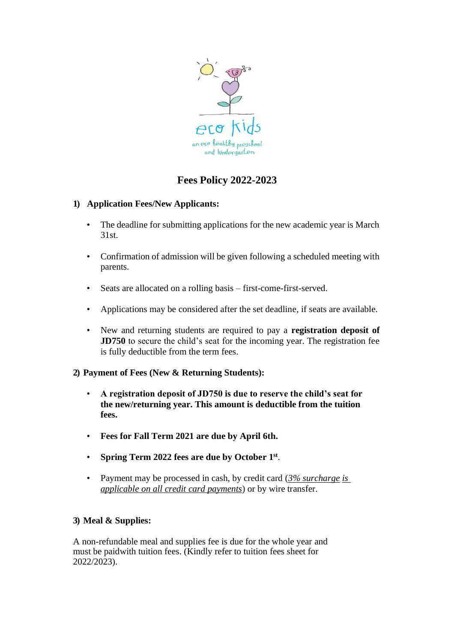

# **Fees Policy 2022-2023**

## **1) Application Fees/New Applicants:**

- The deadline for submitting applications for the new academic year is March 31st.
- Confirmation of admission will be given following a scheduled meeting with parents.
- Seats are allocated on a rolling basis first-come-first-served.
- Applications may be considered after the set deadline, if seats are available.
- New and returning students are required to pay a **registration deposit of JD750** to secure the child's seat for the incoming year. The registration fee is fully deductible from the term fees.

# **2) Payment of Fees (New & Returning Students):**

- **A registration deposit of JD750 is due to reserve the child's seat for the new/returning year. This amount is deductible from the tuition fees.**
- **Fees for Fall Term 2021 are due by April 6th.**
- **Spring Term 2022 fees are due by October 1 st** .
- Payment may be processed in cash, by credit card (*3% surcharge is applicable on all credit card payments*) or by wire transfer.

## **3) Meal & Supplies:**

A non-refundable meal and supplies fee is due for the whole year and must be paidwith tuition fees. (Kindly refer to tuition fees sheet for 2022/2023).